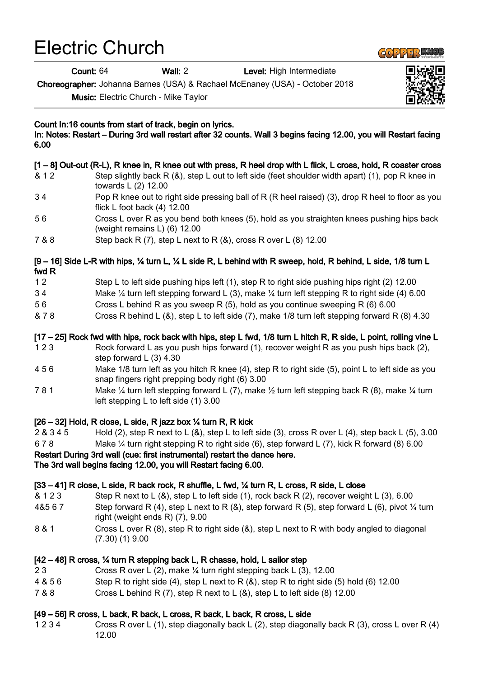# Electric Church

Count: 64 Wall: 2 Level: High Intermediate

Choreographer: Johanna Barnes (USA) & Rachael McEnaney (USA) - October 2018

Music: Electric Church - Mike Taylor

Count In:16 counts from start of track, begin on lyrics.

In: Notes: Restart – During 3rd wall restart after 32 counts. Wall 3 begins facing 12.00, you will Restart facing 6.00

# [1 – 8] Out-out (R-L), R knee in, R knee out with press, R heel drop with L flick, L cross, hold, R coaster cross

- & 1 2 Step slightly back R (&), step L out to left side (feet shoulder width apart) (1), pop R knee in towards L (2) 12.00
- 3 4 Pop R knee out to right side pressing ball of R (R heel raised) (3), drop R heel to floor as you flick L foot back (4) 12.00
- 5 6 Cross L over R as you bend both knees (5), hold as you straighten knees pushing hips back (weight remains L) (6) 12.00
- 7 & 8 Step back R (7), step L next to R (&), cross R over L (8) 12.00

#### [9 – 16] Side L-R with hips, ¼ turn L, ¼ L side R, L behind with R sweep, hold, R behind, L side, 1/8 turn L fwd R

- 1 2 Step L to left side pushing hips left (1), step R to right side pushing hips right (2) 12.00
- 3 4 Make ¼ turn left stepping forward L (3), make ¼ turn left stepping R to right side (4) 6.00
- 5 6 Cross L behind R as you sweep R (5), hold as you continue sweeping R (6) 6.00
- & 7 8 Cross R behind L (&), step L to left side (7), make 1/8 turn left stepping forward R (8) 4.30

#### [17 – 25] Rock fwd with hips, rock back with hips, step L fwd, 1/8 turn L hitch R, R side, L point, rolling vine L

- 1 2 3 Rock forward L as you push hips forward (1), recover weight R as you push hips back (2), step forward L (3) 4.30
- 4 5 6 Make 1/8 turn left as you hitch R knee (4), step R to right side (5), point L to left side as you snap fingers right prepping body right (6) 3.00
- 7 8 1 Make ¼ turn left stepping forward L (7), make ½ turn left stepping back R (8), make ¼ turn left stepping L to left side (1) 3.00

#### [26 – 32] Hold, R close, L side, R jazz box ¼ turn R, R kick

2 & 3 4 5 Hold (2), step R next to L (&), step L to left side (3), cross R over L (4), step back L (5), 3.00 6 7 8 Make ¼ turn right stepping R to right side (6), step forward L (7), kick R forward (8) 6.00 Restart During 3rd wall (cue: first instrumental) restart the dance here. The 3rd wall begins facing 12.00, you will Restart facing 6.00.

#### [33 – 41] R close, L side, R back rock, R shuffle, L fwd, ¼ turn R, L cross, R side, L close

- & 1 2 3 Step R next to L (&), step L to left side (1), rock back R (2), recover weight L (3), 6.00
- 4&5 6 7 Step forward R (4), step L next to R (&), step forward R (5), step forward L (6), pivot ¼ turn right (weight ends R) (7), 9.00
- 8 & 1 Cross L over R (8), step R to right side (&), step L next to R with body angled to diagonal (7.30) (1) 9.00

### [42 – 48] R cross, ¼ turn R stepping back L, R chasse, hold, L sailor step

- 2 3 Cross R over L (2), make ¼ turn right stepping back L (3), 12.00
- 4 & 5 6 Step R to right side (4), step L next to R (&), step R to right side (5) hold (6) 12.00
- 7 & 8 Cross L behind R (7), step R next to L (&), step L to left side (8) 12.00

#### [49 – 56] R cross, L back, R back, L cross, R back, L back, R cross, L side

1 2 3 4 Cross R over L (1), step diagonally back L (2), step diagonally back R (3), cross L over R (4) 12.00